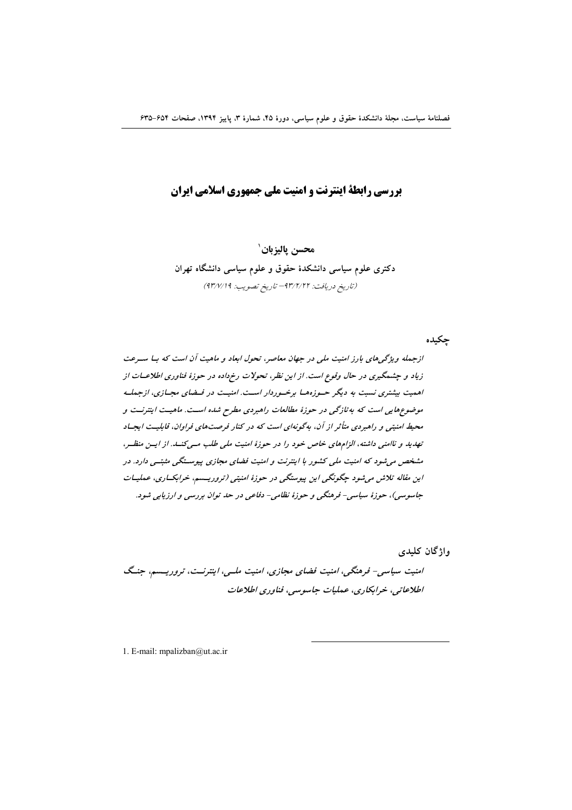# **یررسی رابطهٔ اینترنت و امنیت ملی جمهوری اسلامی ایران**

محسن ياليزبان` دکتری علوم سیاسی دانشکدهٔ حقوق و علوم سیاسی دانشگاه تهران (تاريخ دريافت: ٩٣/٢/٢٢ - تاريخ تصويب: ٩٣/٧/١٩)

جكبده

ازجمله ویژگی های بارز امنیت ملی در جهان معاصر، تحول ابعاد و ماهیت آن است که بیا سیرعت زیاد و چشمگیری در حال وقوع است. از این نظر، تحولات رخرداده در حوزهٔ فناوری اطلاعــات از اهمیت بیشتری نسبت به دیگر حـوزههـا برخـوردار اسـت. امنیـت در فـضای مجـازی، ازجملـه موضوعهایی است که به تازگی در حوزهٔ مطالعات راهبردی مطرح شده است. ماهیت اینترنت و محیط امنیتی و راهبردی متأثر از آن، بهگونهای است که در کنار فرصتهای فراوان، قابلیت ایجساد تهدید و ناامنی داشته، الزامهای خاص خود را در حوزهٔ امنیت ملی طلب مسی کنسد. از ایسن منظسر، مشخص می شود که امنیت ملی کشور با اینترنت و امنیت فضای مجازی پیوستگی مثبتی دارد. در این مقاله تلاش می شود چگونگی این پیوستگی در حوزهٔ امنیتی (تروریسم، خرابک اری، عملیات جاسوسی)، حوزهٔ سیاسی- فرهنگی و حوزهٔ نظامی- دفاعی در حد توان بررسی و ارزیابی شود.

واژگان کلیدی

امنیت سیاسی- فرهنگی، امنیت فضای مجازی، امنیت ملسی، اینترنست، تروریسیم، جنگ اطلاعاتي، خرابکاري، عمليات جاسوسي، فناوري اطلاعات

1. E-mail: mpalizban@ut.ac.ir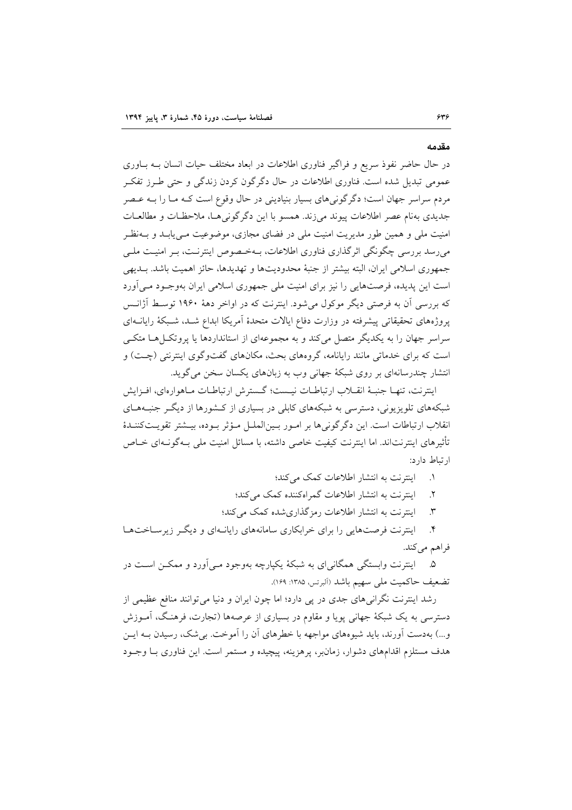در حال حاضر نفوذ سریع و فراگیر فناوری اطلاعات در ابعاد مختلف حیات انسان بـه بـاوری عمومی تبدیل شده است. فناوری اطلاعات در حال دگرگون کردن زندگی و حتی طـرز تفکـر مردم سراسر جهان است؛ دگرگونیهای بسیار بنیادینی در حال وقوع است کـه مـا را بـه عـصر جدیدی بهنام عصر اطلاعات پیوند می زند. همسو با این دگر گونی هـا، ملاحظـات و مطالعـات امنیت ملی و همین طور مدیریت امنیت ملی در فضای مجازی، موضوعیت مـی،یابـد و بــهنظـر می رسد بررسی چگونگی اثرگذاری فناوری اطلاعات، بـهخـصوص اینترنـت، بـر امنیـت ملـی جمهوري اسلامي ايران، البته بيشتر از جنبهٔ محدوديتها و تهديدها، حائز اهميت باشد. بــديهي است این پدیده، فرصتهایی را نیز برای امنیت ملی جمهوری اسلامی ایران بهوجـود مـی آورد که بررسی آن به فرصتی دیگر موکول می شود. اینترنت که در اواخر دههٔ ۱۹۶۰ توسط آژانـس یروژههای تحقیقاتی پیشرفته در وزارت دفاع ایالات متحدهٔ آمریکا ابداع شـد، شـبکهٔ رایانــهای سراسر جهان را به یکدیگر متصل می کند و به مجموعهای از استانداردها یا پروتک(هـا متکـی است که برای خدماتی مانند رایانامه، گروههای بحث، مکانهای گفتوگوی اینترنتی (چـت) و انتشار چندرسانهای بر روی شبکهٔ جهانی وب به زبانهای یکسان سخن میگوید.

اينترنت، تنهـا جنبـهٔ انقــلاب ارتباطـات نيــست؛ گــسترش ارتباطـات مــاهوارهاي، افــزايش شبکههای تلویزیونی، دسترسی به شبکههای کابلی در بسیاری از کـشورها از دیگـر جنبـههـای انقلاب ارتباطات است. این دگرگونی ها بر امـور بـینالملـل مـؤثر بـوده، بیـشتر تقویـتکننـدهٔ تأثیرهای اینترنتاند. اما اینترنت کیفیت خاصی داشته، با مسائل امنیت ملی بـهگونـهای خــاص ارتباط دارد:

١. اينترنت به انتشار اطلاعات كمك مي كند؛

اینترنت به انتشار اطلاعات گمراهکننده کمک می کند؛  $\mathbf{r}$ 

اینترنت به انتشار اطلاعات رمزگذاری شده کمک می کند؛  $\mathbf{r}$ 

۴. اینترنت فرصتهایی را برای خرابکاری سامانههای رایانـهای و دیگـر زیرسـاختهـا فراهم می کند.

۵. اینترنت وابستگی همگانیای به شبکهٔ یکپارچه بهوجود مـیآورد و ممکـن اسـت در تضعيف حاكميت ملي سهيم باشد (آلبرتس، ١٣٨٥: ١٤٩).

رشد اینترنت نگرانی های جدی در پی دارد؛ اما چون ایران و دنیا می توانند منافع عظیمی از دسترسي به يک شبکهٔ جهاني يوپا و مقاوم در بسياري از عرصهها (تجارت، فرهنگ، آمــوزش و...) بهدست آورند، باید شیوههای مواجهه با خطرهای آن را آموخت. بی شک، رسیدن بـه ایــن هدف مستلزم اقدامهای دشوار، زمانبر، یرهزینه، پیچیده و مستمر است. این فناوری بـا وجـود

مقدمه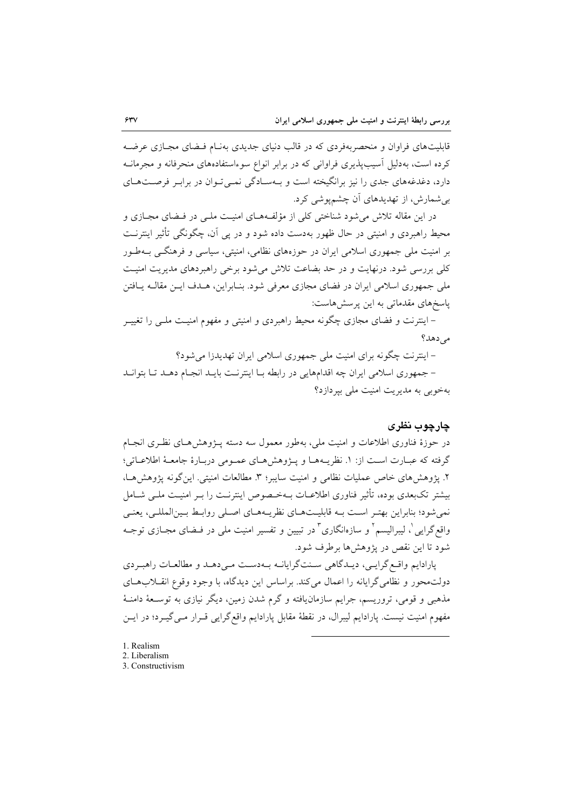قابلیتهای فراوان و منحصربهفردی که در قالب دنیای جدیدی بهنـام فـضای مجـازی عرضـه کرده است، بهدلیل آسیبپذیری فراوانی که در برابر انواع سوءاستفادههای منحرفانه و مجرمانــه دارد، دغدغههای جدی را نیز برانگیخته است و بـهسـادگی نمـیتوان در برابـر فرصـتهـای بی شمارش، از تهدیدهای آن چشم پوشی کرد.

در این مقاله تلاش می شود شناختی کلی از مؤلفههـای امنیـت ملـی در فـضای مجـازی و محیط راهبردی و امنیتی در حال ظهور بهدست داده شود و در پی اَن، چگونگی تأثیر اینترنـت بر امنیت ملی جمهوری اسلامی ایران در حوزههای نظامی، امنیتی، سیاسی و فرهنگ, بـهطـور کلی بررسی شود. درنهایت و در حد بضاعت تلاش می شود برخی راهبردهای مدیریت امنیت ملي جمهوري اسلامي ايران در فضاي مجازي معرفي شود. بنـابراين، هــدف ايــن مقالــه يــافتن پاسخهای مقدماتی به این پرسش هاست:

– اینترنت و فضای مجازی چگونه محیط راهبردی و امنیتی و مفهوم امنیـت ملـی را تغییــر مے ردھد؟

– اینترنت چگونه برای امنیت ملی جمهوری اسلامی ایران تهدیدزا می شود؟ - جمهوری اسلامی ایران چه اقدامهایی در رابطه بـا اینترنـت بایـد انجـام دهـد تـا بتوانـد بهخوبی به مدیریت امنیت ملی بیر دازد؟

#### چارچوب نظری

در حوزهٔ فناوری اطلاعات و امنیت ملی، بهطور معمول سه دسته پـژوهش۵حای نظـری انجـام گرفته كه عبـارت اسـت از: ١. نظريــههـا و پــژوهشهـاي عمـومي دربـارهٔ جامعـهٔ اطلاعـاتي؛ ۲. يژوهش هاي خاص عمليات نظامي و امنيت سايبر؛ ۳. مطالعات امنيتي. اين گونه يژوهش هـا، بیشتر تکبعدی بوده، تأثیر فناوری اطلاعـات بـهخـصوص اینترنـت را بـر امنیـت ملـی شــامل نمي شود؛ بنابراين بهتـر اسـت بـه قابليـتهـاي نظريـههـاي اصـلي روابـط بـينالمللـي، يعنـي واقع گرایی ْ، لیبرالیسم ْ و سازەانگاری ْ در تبیین و تفسیر امنیت ملی در فــضای مجــازی توجــه شود تا اين نقص در پژوهش ها برطرف شود.

پارادایم واقع گرایبی، دیـدگاهی سـنتگرایانـه بـهدسـت مـیدهـد و مطالعـات راهبـردی دولت محور و نظامی گرایانه را اعمال میکند. براساس این دیدگاه، با وجود وقوع انقـلابهـای مذهبی و قومی، تروریسم، جرایم سازمانیافته و گرم شدن زمین، دیگر نیازی به توسـعهٔ دامنـهٔ مفهوم امنیت نیست. پارادایم لیبرال، در نقطهٔ مقابل پارادایم واقع گرایی قـرار مـی گیـرد؛ در ایــن

- 1. Realism
- 2. Liberalism
- 3. Constructivism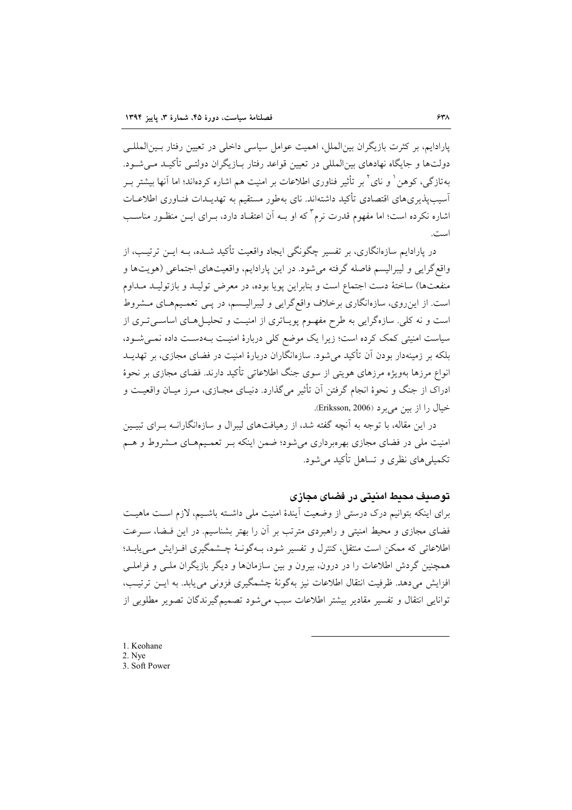یارادایم، بر کثرت بازیگران بین(لملل، اهمیت عوامل سیاسی داخلی در تعیین رفتار بسین(لمللبی دولتها و جایگاه نهادهای بین|لمللی در تعیین قواعد رفتار بـازیگران دولتـی تأکیـد مـی شـود. به تاز گے ، کو هن ٰ و نای ٗ بر ۔تأثیر فناوری اطلاعات بر امنیت هم اشاره کردهاند؛ اما آنها بیشتر ب آسیب پذیری های اقتصادی تأکید داشتهاند. نای بهطور مستقیم به تهدیـدات فنـاوری اطلاعـات اشاره نکرده است؛ اما مفهوم قدرت نرم ٌ که او بــه اَن اعتقــاد دارد، بــرای ایــن منظــور مناســب است.

در پارادایم سازهانگاری، بر تفسیر چگونگی ایجاد واقعیت تأکید شــده، بــه ایــن ترتیــب، از واقع گرايي و ليبراليسم فاصله گرفته مي شود. در اين پارادايم، واقعيتهاي اجتماعي (هويتها و منفعتها) ساختهٔ دست اجتماع است و بنابراین پویا بوده، در معرض تولیـد و بازتولیـد مـداوم است. از این روی، سازهانگاری برخلاف واقع گرایی و لیبرالیسم، در پـی تعمـیمهـای مـشروط است و نه کلی. سازهگرایی به طرح مفهـوم پویـاتری از امنیـت و تحلیـل هـای اساسـی تـری از سیاست امنیتی کمک کرده است؛ زیرا یک موضع کلی دربارهٔ امنیت بهدست داده نمی شود، بلکه بر زمینهدار بودن آن تأکید می شود. سازهانگاران دربارهٔ امنیت در فضای مجازی، بر تهدیــد انواع مرزها بهویژه مرزهای هویتی از سوی جنگ اطلاعاتی تأکید دارند. فضای مجازی بر نحوهٔ ادراک از جنگ و نحوهٔ انجام گرفتن آن تأثیر میگذارد. دنیـای مجـازی، مـرز میـان واقعیــت و خيال را از بين مي برد (Eriksson, 2006).

در این مقاله، با توجه به آنچه گفته شد، از رهیافتهای لیبرال و سازهانگارانــه بــرای تبیــین امنیت ملی در فضای مجازی بهرمبرداری می شود؛ ضمن اینکه بـر تعمـیمهـای مـشروط و هـم تکمیلی های نظری و تساهل تأکید می شود.

### توصيف محيط امنيتي در فضاي مجازي

برای اینکه بتوانیم درک درستی از وضعیت اَیندهٔ امنیت ملی داشـته باشـیم، لازم اسـت ماهیـت فضای مجازی و محیط امنیتی و راهبردی مترتب بر آن را بهتر بشناسیم. در این فـضا، سـرعت اطلاعاتی که ممکن است منتقل، کنترل و تفسیر شود، بـهگونـهٔ چـشمگیری افـزایش مـیuابـد؛ همچنین گردش اطلاعات را در درون، بیرون و بین سازمانها و دیگر بازیگران ملبی و فراملبی افزايش مي دهد. ظرفيت انتقال اطلاعات نيز بهگونهٔ چشمگيري فزوني مي يابد. به ايـن ترتيـب، توانایی انتقال و تفسیر مقادیر بیشتر اطلاعات سبب می شود تصمیم گیرندگان تصویر مطلوبی از

1. Keohane 2. Nye 3. Soft Power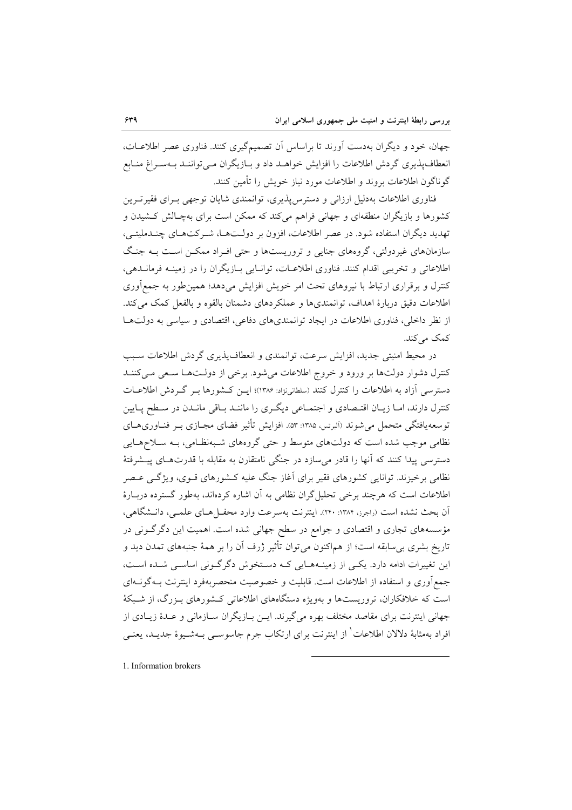جهان، خود و دیگران بهدست آورند تا براساس آن تصمیمگیری کنند. فناوری عصر اطلاعـات، انعطاف پذیری گردش اطلاعات را افزایش خواهـد داد و بـازیگران مـی تواننـد بـهسـراغ منـابع گوناگون اطلاعات بروند و اطلاعات مورد نیاز خویش را تأمین کنند.

فناوری اطلاعات بهدلیل ارزانی و دسترس پذیری، توانمندی شایان توجهی بـرای فقیر تـرین کشورها و بازیگران منطقهای و جهانی فراهم میکند که ممکن است برای بهچـالش کـشیدن و تهدید دیگران استفاده شود. در عصر اطلاعات، افزون بر دولـتهـا، شـرکتهـای چنــدملیتـی، سازمانهای غیردولتی، گروههای جنایی و تروریستها و حتی افـراد ممکـن اسـت بـه جنـگ اطلاعاتی و تخریبی اقدام کنند. فناوری اطلاعیات، توانیایی بیازیگران را در زمینیه فرمانیدهی، کنترل و برقراری ارتباط با نیروهای تحت امر خویش افزایش میدهد؛ همین $\det$ ور به جمعآوری اطلاعات دقیق دربارهٔ اهداف، توانمندیها و عملکردهای دشمنان بالقوه و بالفعل کمک می کند. از نظر داخلی، فناوری اطلاعات در ایجاد توانمندیهای دفاعی، اقتصادی و سیاسی به دولتها كمك مى كند.

در محیط امنیتی جدید، افزایش سرعت، توانمندی و انعطاف پذیری گردش اطلاعات سـبب کنترل دشوار دولتها بر ورود و خروج اطلاعات میشود. برخی از دولتها سعی می کننـد دسترسی آزاد به اطلاعات را کنترل کنند (سلطانینژاد: ۱۳۸۶)؛ ایـن کـشورها بـر گـردش اطلاعـات کنترل دارند، امـا زيـان اقتـصادي و اجتمـاعي ديگـري را ماننـد بــاقي مانــدن در سـطح پــايين توسعه یافتگی متحمل می شوند (اَلبرتس ١٣٨٥: ٥٣: افزایش تأثیر فضای مجـازی بــر فنــاوریهــای نظامی موجب شده است که دولتهای متوسط و حتبی گروههای شـبهنظـامی، بـه سـلاحهـایی دسترسی پیدا کنند که آنها را قادر می سازد در جنگی نامتقارن به مقابله با قدرتهـای پیــشرفتهٔ نظامی برخیزند. توانایی کشورهای فقیر برای آغاز جنگ علیه کـشورهای قــوی، ویژگــی عــصر اطلاعات است که هرچند برخی تحلیل گران نظامی به آن اشاره کردهاند، بهطور گسترده دربـارهٔ آن بحث نشده است (راجرز، ۱۳۸۴: ۲۴۰). اینترنت بهسرعت وارد محفـلهـای علمـی، دانــشگاهی، مؤسسههای تجاری و اقتصادی و جوامع در سطح جهانی شده است. اهمیت این دگرگـونی در تاریخ بشری بی سابقه است؛ از هماکنون می توان تأثیر ژرف آن را بر همهٔ جنبههای تمدن دید و این تغییرات ادامه دارد. یکے از زمینـههـایے کـه دسـتخوش دگرگـونی اساسـی شـده اسـت، جمع آوری و استفاده از اطلاعات است. قابلیت و خصوصیت منحصربهفرد اینترنت بـهگونــهای است که خلافکاران، تروریستها و بهویژه دستگاههای اطلاعاتی کـشورهای بـزرگ، از شـبکهٔ جهانی اینترنت برای مقاصد مختلف بهره میگیرند. ایــن بــازیگران ســازمانی و عــدهٔ زیــادی از افراد بهمثابهٔ دلالان اطلاعات<sup>י</sup> از اینترنت برای ارتکاب جرم جاسوســی بــهشــیوهٔ جدیــد، یعنــی

1. Information brokers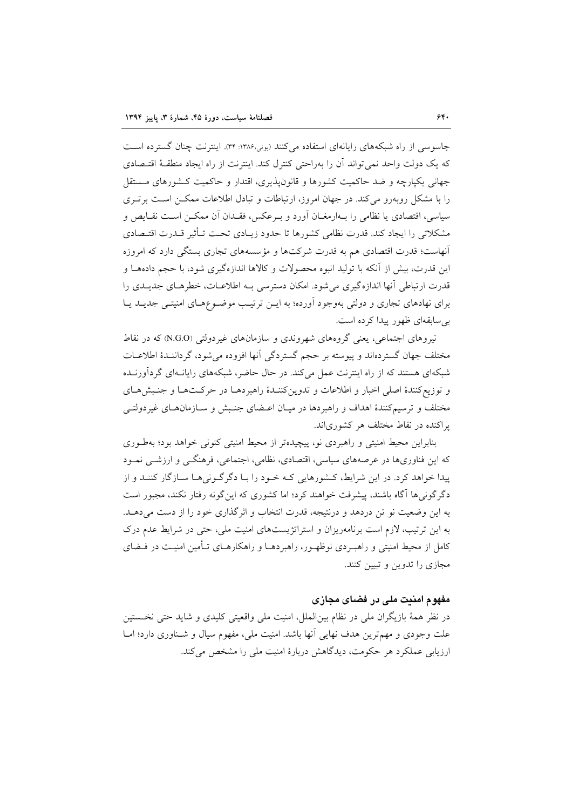جاسوسی از راه شبکههای رایانهای استفاده می کنند (بونی،۱۳۸۶: ۳۴). اینترنت چنان گسترده است که یک دولت واحد نمی تواند اّن را بهراحتی کنترل کند. اینترنت از راه ایجاد منطقـهٔ اقتـصادی جهانی یکپارچه و ضد حاکمیت کشورها و قانون پذیری، اقتدار و حاکمیت کشورهای مستقل را با مشکل روبهرو می کند. در جهان امروز، ارتباطات و تبادل اطلاعات ممکـن اسـت برتـری سیاسی، اقتصادی یا نظامی را بـهارمغــان آورد و بــرعکس، فقــدان آن ممکــن اســت نقــایص و مشكلاتي را ايجاد كند. قدرت نظامي كشورها تا حدود زيــادي تحـت تــأثير قــدرت اقتــصادي آنهاست؛ قدرت اقتصادی هم به قدرت شرکتها و مؤسسههای تجاری بستگی دارد که امروزه این قدرت، بیش از آنکه با تولید انبوه محصولات و کالاها اندازهگیری شود، با حجم دادههــا و قدرت ارتباطی آنها اندازهگیری می شود. امکان دسترسی بـه اطلاعـات، خطرهـای جدیـدی را برای نهادهای تجاری و دولتی بهوجود آورده؛ به ایـن ترتیـب موضـوعهـای امنیتـی جدیـد یـا بي سابقهاي ظهور پيدا كرده است.

نیروهای اجتماعی، یعنی گروههای شهروندی و سازمانهای غیردولتی (N.G.O) که در نقاط مختلف جهان گستردهاند و پیوسته بر حجم گستردگی آنها افزوده می شود، گرداننـدهٔ اطلاعــات شبکهای هستند که از راه اینترنت عمل میکند. در حال حاضر، شبکههای رایانهای گردآورنـده و توزیع کنندهٔ اصلی اخبار و اطلاعات و تدوین کننـدهٔ راهبردهـا در حرکـتهـا و جنـبشهـای مختلف و ترسیمکنندهٔ اهداف و راهبردها در میـان اعـضای جنـبش و سـازمانهـای غیردولتـی یر اکنده در نقاط مختلف هر کشوریاند.

بنابراین محیط امنیتی و راهبردی نو، پیچیدهتر از محیط امنیتی کنونی خواهد بود؛ بهطـوری که این فناوریها در عرصههای سیاسی، اقتصادی، نظامی، اجتماعی، فرهنگــی و ارزشـــی نمــود پیدا خواهد کرد. در این شرایط، کـشورهایی کـه خـود را بـا دگرگـونی۵ا سـازگار کننـد و از دگر گونی ها آگاه باشند، پیشرفت خواهند کرد؛ اما کشوری که این گونه رفتار نکند، مجبور است به این وضعیت نو تن دردهد و درنتیجه، قدرت انتخاب و اثر گذاری خود را از دست می دهـد. به این ترتیب، لازم است برنامهریزان و استراتژیستهای امنیت ملی، حتی در شرایط عدم درک کامل از محیط امنیتی و راهب دی نوظهـور، راهبردهـا و راهکارهـای تـأمین امنیـت در فــضای مجازی را تدوین و تبیین کنند.

#### مفهوم امنیت ملی در فضای مجازی

در نظر همهٔ بازیگران ملی در نظام بین(لملل، امنیت ملی واقعیتی کلیدی و شاید حتی نخستین علت وجودی و مهمترین هدف نهایی آنها باشد. امنیت ملی، مفهوم سیال و شـناوری دارد؛ امـا ارزیابی عملکرد هر حکومت، دیدگاهش دربارهٔ امنیت ملی را مشخص می کند.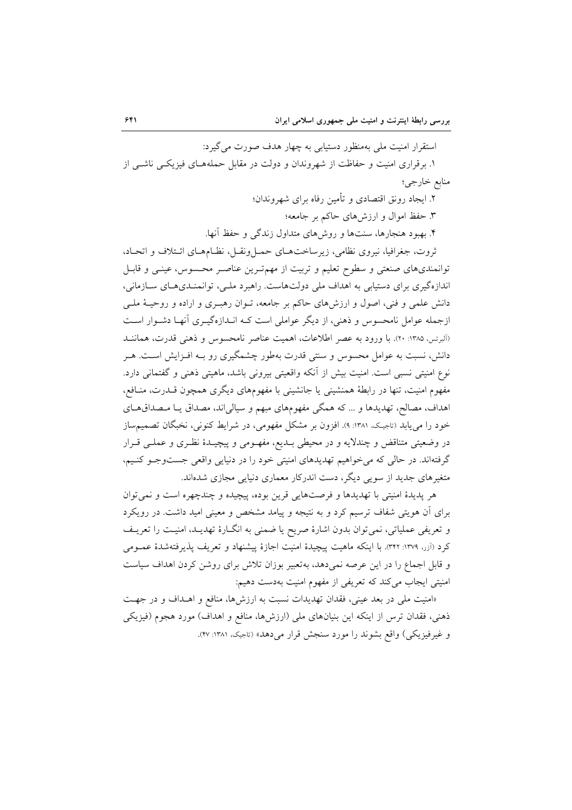استقرار امنیت ملی بهمنظور دستیابی به چهار هدف صورت می گیرد:

۱. برقراری امنیت و حفاظت از شهروندان و دولت در مقابل حملههـای فیزیکـی ناشـی از منابع خارجي؛

۲. ایجاد رونق اقتصادی و تأمین رفاه برای شهروندان؛

۳. حفظ اموال و ارزشهای حاکم بر جامعه؛

۴. بهبود هنجارها، سنتها و روش های متداول زندگی و حفظ آنها.

ثروت، جغرافیا، نیروی نظامی، زیرساختهـای حمـلونقـل، نظـامهـای ائـتلاف و اتحـاد، توانمندیهای صنعتی و سطوح تعلیم و تربیت از مهمترین عناصر محسوس، عینـی و قابـل اندازهگیری برای دستیابی به اهداف ملی دولتهاست. راهبرد ملـی، توانمنـدیهـای سـازمانی، دانش علمي و فني، اصول و ارزش۵اي حاكم بر جامعه، تـوان رهبـري و اراده و روحيـهٔ ملـي ازجمله عوامل نامحسوس و ذهنی، از دیگر عواملی است کـه انــدازهگیــری آنهــا دشــوار اســت (آلبرتس، ۱۳۸۵: ۲۰). با ورود به عصر اطلاعات، اهمیت عناصر نامحسوس و ذهنی قدرت، هماننـد دانش، نسبت به عوامل محسوس و سنتی قدرت بهطور چشمگیری رو بـه افـزایش اسـت. هـر نوع امنیتی نسبی است. امنیت بیش از آنکه واقعیتی بیرونی باشد، ماهیتی ذهنی و گفتمانی دارد. مفهوم امنیت، تنها در رابطهٔ همنشینی یا جانشینی با مفهومهای دیگری همچون قـدرت، منـافع، اهداف، مصالح، تهدیدها و … که همگی مفهومهای مبهم و سیالی اند، مصداق یـا مـصداقهـای خود را می یابد (تاجیک، ۱۳۸۱: ۹). افزون بر مشکل مفهومی، در شرایط کنونی، نخبگان تصمیمساز در وضعیتی متناقض و چندلایه و در محیطی بـدیع، مفهـومی و پیچیـدهٔ نظـری و عملـی قـرار گرفتهاند. در حالی که می خواهیم تهدیدهای امنیتی خود را در دنیایی واقعی جستوجو کنیم، متغیرهای جدید از سویی دیگر، دست اندرکار معماری دنیایی مجازی شدهاند.

هر پدیدهٔ امنیتی با تهدیدها و فرصتهایی قرین بوده، پیچیده و چندچهره است و نمی توان برای آن هویتی شفاف ترسیم کرد و به نتیجه و پیامد مشخص و معینی امید داشت. در رویکرد و تعریفی عملیاتی، نمی توان بدون اشارهٔ صریح یا ضمنی به انگـارهٔ تهدیــد، امنیــت را تعریــف كرد (آزر، ١٣٧٩: ٣٢٢). با اينكه ماهيت پيچيدهٔ امنيت اجازهٔ پيشنهاد و تعريف پذيرفتهشدهٔ عمـومى و قابل اجماع را در این عرصه نمی دهد، به تعبیر بوزان تلاش برای روشن کردن اهداف سیاست امنیتی ایجاب میکند که تعریفی از مفهوم امنیت بهدست دهیم:

«امنیت ملی در بعد عینی، فقدان تهدیدات نسبت به ارزشها، منافع و اهـداف و در جهـت ذهني، فقدان ترس از اينكه اين بنيانهاي ملي (ارزشها، منافع و اهداف) مورد هجوم (فيزيكي و غيرفيزيكي) واقع بشوند را مورد سنجش قرار مي دهد» (تاجيک، ١٣٨١: ٢٧).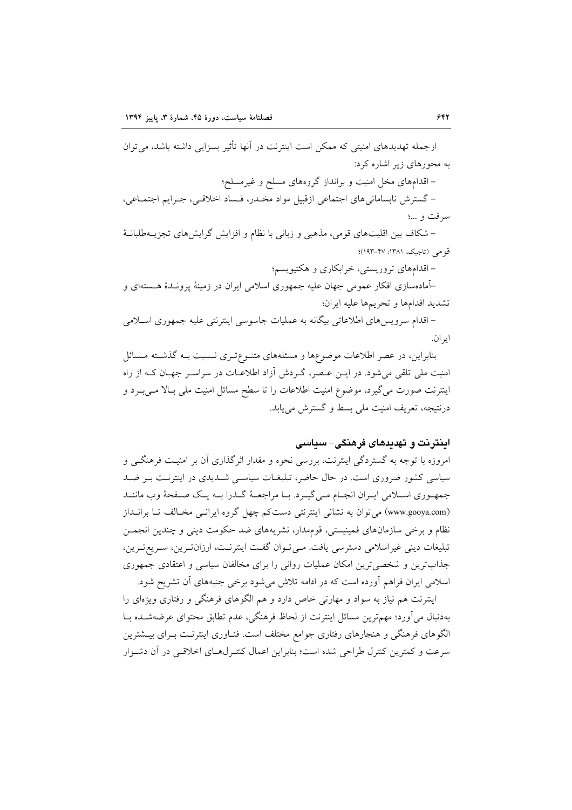ازجمله تهدیدهای امنیتی که ممکن است اینترنت در آنها تأثیر بسزایی داشته باشد، می توان به محورهای زیر اشاره کرد: – اقدامهای مخل امنیت و برانداز گروههای مسلح و غیرمسلح؛ - گسترش نابسامانی های اجتماعی ازقبیل مواد مخـدر، فـساد اخلاقـی، جـرایم اجتمـاعی، سرقت و …؛

– شکاف بین اقلیتهای قومی، مذهبی و زبانی با نظام و افزایش گرایش های تجزیـهطلبانـهٔ قومی (تاجیک، ۱۳۸۱: ۴۷-۱۹۳)؛

– اقدامهای تروریستی، خرابکاری و هکتیویسم؛

–آمادهسازی افکار عمومی جهان علیه جمهوری اسلامی ایران در زمینهٔ پرونـدهٔ هـستهای و تشديد اقدامها وتحريمها عليه ايران؛

– اقدام سرويس هاي اطلاعاتي بيگانه به عمليات جاسوسي اينترنتي عليه جمهوري اسـلامي اير ان.

بنابراین، در عصر اطلاعات موضوعها و مسئلههای متنـوعتـری نـسبت بـه گذشـته مـسائل امنیت ملی تلقی میشود. در ایــن عــصر، گــردش آزاد اطلاعــات در سراســر جهــان کــه از راه اینترنت صورت میگیرد، موضوع امنیت اطلاعات را تا سطح مسائل امنیت ملی بـالا مـیبـرد و درنتيجه، تعريف امنيت ملي بسط و گسترش مي يابد.

### اینترنت و تهدیدهای فرهنگی-سیاسی

امروزه با توجه به گستردگی اینترنت، بررسی نحوه و مقدار اثرگذاری آن بر امنیت فرهنگی و سیاسی کشور ضروری است. در حال حاضر، تبلیغـات سیاسـی شــدیدی در اینترنـت بـر ضــد جمهـوري اسـلامي ايـران انجـام مـي گيـرد. بـا مراجعــهٔ گــذرا بــه يـك صـفحهٔ وب ماننــد (www.gooya.com) می توان به نشانی اینترنتی دست کم چهل گروه ایرانسی مخـالف تـا برانــداز نظام و برخی سازمانهای فمینیستی، قوممدار، نشریههای ضد حکومت دینی و چندین انجمس تبليغات ديني غيراسلامي دسترسي يافت. مـي تـوان گفـت اينترنـت، ارزانتـرين، سـريع تـرين، جذابترین و شخصیترین امکان عملیات روانی را برای مخالفان سیاسی و اعتقادی جمهوری اسلامی ایران فراهم آورده است که در ادامه تلاش میشود برخی جنبههای آن تشریح شود.

اینترنت هم نیاز به سواد و مهارتی خاص دارد و هم الگوهای فرهنگی و رفتاری ویژهای را بهدنبال مي آورد؛ مهمترين مسائل اينترنت از لحاظ فرهنگي، عدم تطابق محتواي عرضهشـده بــا الگوهای فرهنگی و هنجارهای رفتاری جوامع مختلف است. فنـاوری اینترنـت بـرای بیــشترین سرعت و کمترین کنترل طراحی شده است؛ بنابراین اعمال کنتـرلهـای اخلاقـی در آن دشـوار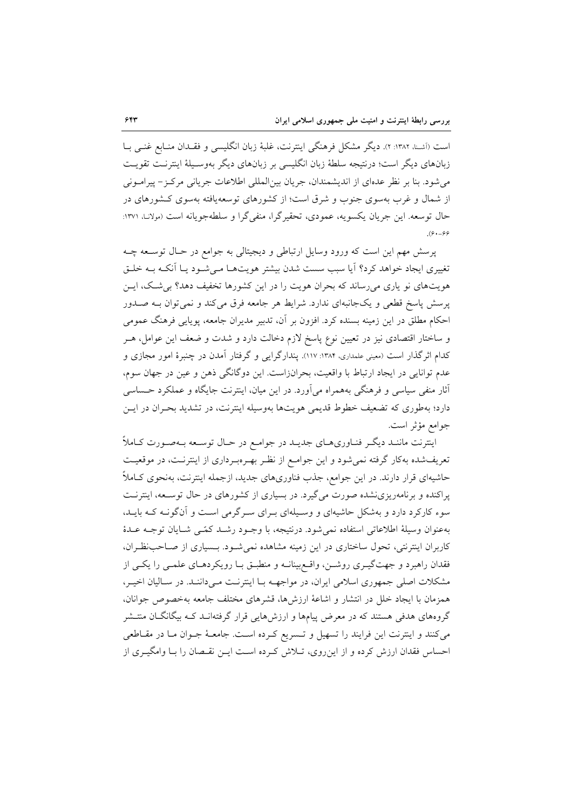است (أشنا، ١٣٨٢: ٢). ديگر مشكل فرهنگي اينترنت، غلبهٔ زبان انگليسي و فقـدان منـابع غنـي بــا زبانهای دیگر است؛ درنتیجه سلطهٔ زبان انگلیسی بر زبانهای دیگر بهوسـیلهٔ اینترنـت تقویـت می شود. بنا بر نظر عدهای از اندیشمندان، جریان بین المللی اطلاعات جریانی مرکز- پیرامـونی از شمال و غرب بهسوی جنوب و شرق است؛ از کشورهای توسعهیافته بهسوی کـشورهای در حال توسعه. این جریان یکسویه، عمودی، تحقیرگرا، منفی گرا و سلطهجویانه است (مولانـ) ۱۳۷۱:  $(8. - 88)$ 

پرسش مهم این است که ورود وسایل ارتباطی و دیجیتالی به جوامع در حـال توسـعه چـه تغییری ایجاد خواهد کرد؟ آیا سبب سست شدن بیشتر هویتها مے شود یا آنکـه بـه خلـق هویتهای نو یاری میرساند که بحران هویت را در این کشورها تخفیف دهد؟ بی شک، ایـن پرسش پاسخ قطعی و یکجانبهای ندارد. شرایط هر جامعه فرق می کند و نمی توان بـه صـدور احکام مطلق در این زمینه بسنده کرد. افزون بر آن، تدبیر مدیران جامعه، یوپایی فرهنگ عمومی و ساختار اقتصادی نیز در تعیین نوع پاسخ لازم دخالت دارد و شدت و ضعف این عوامل، هــر کدام اثرگذار است (معینی علمداری، ۱۳۸۴: ۱۱۷). پندارگرایی و گرفتار آمدن در چنبرهٔ امور مجازی و عدم توانایی در ایجاد ارتباط با واقعیت، بحرانزاست. این دوگانگی ذهن و عین در جهان سوم، آثار منفی سیاسی و فرهنگی بههمراه میآورد. در این میان، اینترنت جایگاه و عملکرد حساسی دارد؛ بهطوری که تضعیف خطوط قدیمی هویتها بهوسیله اینترنت، در تشدید بحـران در ایـن جوامع مؤثر است.

اینترنت ماننـد دیگـر فنـاوريهـاي جديـد در جوامـع در حـال توسـعه بـهصـورت كـاملاً تعریفشده بهکار گرفته نمیشود و این جوامع از نظر به رمبرداری از اینترنت، در موقعیت حاشیهای قرار دارند. در این جوامع، جذب فناوریهای جدید، ازجمله اینترنت، بهنحوی کـاملاً پراکنده و برنامهریزی نشده صورت می گیرد. در بسیاری از کشورهای در حال توسـعه، اینترنـت سوء کارکرد دارد و بهشکل حاشیهای و وسیلهای بـرای سـرگرمی اسـت و آنگونـه کـه بایـد، بهعنوان وسيلة اطلاعاتي استفاده نمي شود. درنتيجه، با وجـود رشـد كمّـي شـايان توجـه عـدهٔ کاربران اینترنتی، تحول ساختاری در این زمینه مشاهده نمیشود. بـسیاری از صـاحب نظـران، فقدان راهبرد و جهتگیــری روشــن، واقــع بینانــه و منطبــق بــا رویکردهــای علمــی را یکــی از مشکلات اصلی جمهوری اسلامی ایران، در مواجهــه بــا اینترنــت مــی۵داننــد. در ســالیان اخیــر، همزمان با ایجاد خلل در انتشار و اشاعهٔ ارزشها، قشرهای مختلف جامعه بهخصوص جوانان، گروههای هدفی هستند که در معرض پیامها و ارزشهایی قرار گرفتهانـد کـه بیگانگــان منتــشر میکنند و اینترنت این فرایند را تسهیل و تـسریع کـرده اسـت. جامعـهٔ جـوان مـا در مقـاطعی احساس فقدان ارزش کرده و از این روی، تـلاش کـرده اسـت ایـن نقـصان را بـا وامگیـری از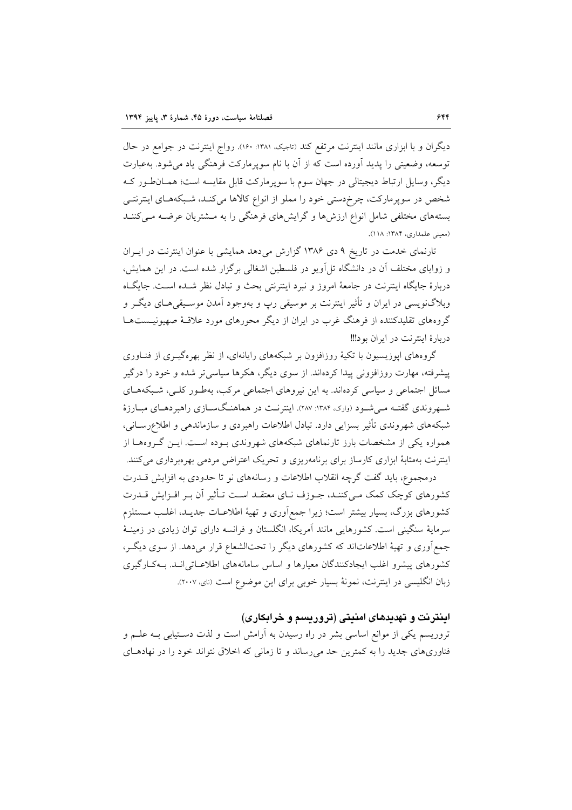دیگران و با ابزاری مانند اینترنت مرتفع کند (تاجیک ۱۳۸۱: ۱۶۰). رواج اینترنت در جوامع در حال توسعه، وضعیتی را پدید آورده است که از آن با نام سوپرمارکت فرهنگی یاد می شود. بهعبارت دیگر، وسایل ارتباط دیجیتالی در جهان سوم با سوپرمارکت قابل مقایسه است؛ همـان(طور کـه شخص در سوپرمارکت، چرخ دستی خود را مملو از انواع کالاها میکند، شـبکههـای اینترنتـی بستههای مختلفی شامل انواع ارزشها و گرایشهای فرهنگی را به مـشتریان عرضـه مـیکننـد (معینی علمداری، ۱۳۸۴: ۱۱۸).

تارنمای خدمت در تاریخ ۹ دی ۱۳۸۶ گزارش میدهد همایشی با عنوان اینترنت در ایـران و زوایای مختلف آن در دانشگاه تل آویو در فلسطین اشغالی برگزار شده است. در این همایش، دربارهٔ جایگاه اینترنت در جامعهٔ امروز و نبرد اینترنتی بحث و تبادل نظر شـده اسـت. جایگـاه وبلاگنویسی در ایران و تأثیر اینترنت بر موسیقی رپ و بهوجود آمدن موسـیقی هـای دیگـر و گروههای تقلیدکننده از فرهنگ غرب در ایران از دیگر محورهای مورد علاقـهٔ صهیونیــستهــا دربارهٔ اینترنت در ایران بود!!!

گروههای ایوزیسیون با تکیهٔ روزافزون بر شبکههای رایانهای، از نظر بهرهگیـری از فنــاوری پیشرفته، مهارت روزافزونی پیدا کردهاند. از سوی دیگر، هکرها سیاسی تر شده و خود را درگیر مسائل اجتماعی و سیاسی کردهاند. به این نیروهای اجتماعی مرکب، بهطـور کلـی، شـبکههـای شـهروندی گفتـه مـی شـود (واری، ۱۳۸۴: ۲۸۷). اینترنـت در هماهنـگســازی راهبردهــای مبــارزهٔ شبکههای شهروندی تأثیر بسزایی دارد. تبادل اطلاعات راهبردی و سازماندهی و اطلاعرســانی، همواره یکی از مشخصات بارز تارنماهای شبکههای شهروندی بـوده اسـت. ایــن گــروهــا از اینترنت بهمثابهٔ ابزاری کارساز برای برنامهریزی و تحریک اعتراض مردمی بهرهبر داری می کنند.

درمجموع، باید گفت گرچه انقلاب اطلاعات و رسانههای نو تا حدودی به افزایش قــدرت کشورهای کوچک کمک مے کننـد، جـوزف نـای معتقـد اسـت تـأثیر آن بـر افـزایش قــدرت کشورهای بزرگ، بسیار بیشتر است؛ زیرا جمع|وری و تهیهٔ اطلاعـات جدیـد، اغلـب مـستلزم سرمایهٔ سنگینی است. کشورهایی مانند آمریکا، انگلستان و فرانسه دارای توان زیادی در زمینـهٔ جمع آوری و تهیهٔ اطلاعاتاند که کشورهای دیگر را تحتالشعاع قرار میدهد. از سوی دیگر، کشورهای پیشرو اغلب ایجادکنندگان معیارها و اساس سامانههای اطلاعیاتی انید. بیهکیارگیری زبان انگلیسی در اینترنت، نمونهٔ بسیار خوبی برای این موضوع است (نای، ۲۰۰۷).

### اینترنت و تهدیدهای امنیتی (تروریسم و خرابکاری)

تروریسم یکی از موانع اساسی بشر در راه رسیدن به آرامش است و لذت دسـتیابی بــه علــم و فناوریهای جدید را به کمترین حد می رساند و تا زمانی که اخلاق نتواند خود را در نهادهـای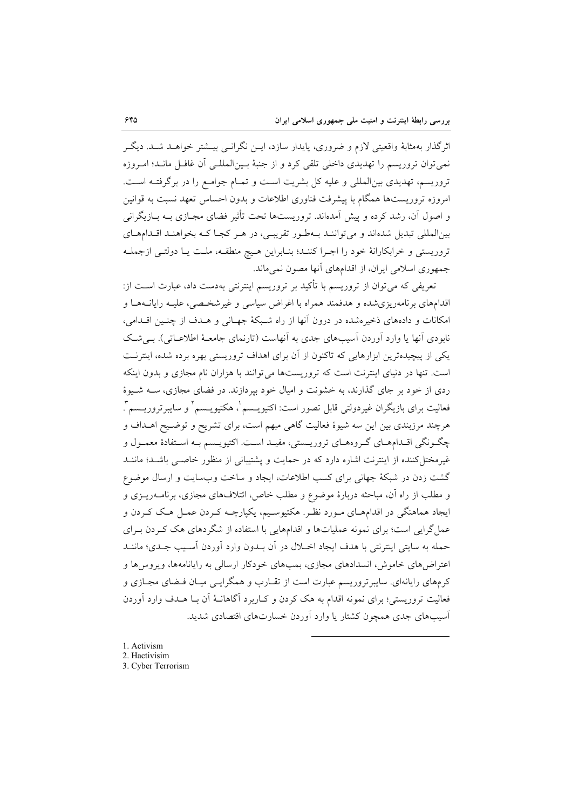اثرگذار بهمثابهٔ واقعیتی لازم و ضروری، پایدار سازد، ایــن نگرانــی بیــشتر خواهــد شــد. دیگــر نمي توان تروريسم را تهديدي داخلي تلقى كرد و از جنبهٔ بـين|لمللـي أن غافـل مانـد؛ امـروزه تروریسم، تهدیدی بین|لمللی و علیه کل بشریت است و تمـام جوامـع را در برگرفتــه اسـت. امروزه تروریستها همگام با پیشرفت فناوری اطلاعات و بدون احساس تعهد نسبت به قوانین و اصول آن، رشد کرده و پیش آمدهاند. تروریستها تحت تأثیر فضای مجـازی بــه بــازیگرانی بینالمللی تبدیل شدهاند و می تواننـد بـهطـور تقریبـی، در هـر کجـا کـه بخواهنـد اقـدامهـای تروریستی و خرابکارانهٔ خود را اجـرا کننـد؛ بنـابراین هـیچ منطقـه، ملـت یـا دولتـی ازجملـه جمهوری اسلامی ایران، از اقدامهای آنها مصون نمی ماند.

تعریفی که می توان از تروریسم با تأکید بر تروریسم اینترنتی بهدست داد، عبارت اسـت از: اقدامهای برنامهریزیشده و هدفمند همراه با اغراض سیاسی و غیرشخصی، علیـه رایانــههـا و امکانات و دادههای ذخیرهشده در درون آنها از راه شبکهٔ جهـانی و هـدف از چنـین اقـدامی، نابودی آنها یا وارد آوردن آسیبهای جدی به آنهاست (تارنمای جامعـهٔ اطلاعـاتی). بـی شـک یکی از پیچیدهترین ابزارهایی که تاکنون از آن برای اهداف تروریستی بهره برده شده، اینترنت است. تنها در دنیای اینترنت است که تروریستها می توانند با هزاران نام مجازی و بدون اینکه ردی از خود بر جای گذارند، به خشونت و امیال خود بیردازند. در فضای مجازی، ســه شــیوهٔ فعاليت براي بازيگران غيردولتي قابل تصور است: اکتيويــسم ْ، هکتيويــسم ْ و سايبرتروريــسم ْ. هرچند مرزبندی بین این سه شیوهٔ فعالیت گاهی مبهم است، برای تشریح و توضیح اهـداف و چگـونگي اقــدامهــاي گــروههــاي تروريــستي، مفيــد اســت. اکتيويــسم بــه اســتفادهٔ معمــول و غیرمختا کننده از اینترنت اشاره دارد که در حمایت و پشتیبانی از منظور خاصبی باشـد؛ ماننـد گشت زدن در شبکهٔ جهانی برای کسب اطلاعات، ایجاد و ساخت وبسایت و ارسال موضوع و مطلب از راه آن، مباحثه دربارهٔ موضوع و مطلب خاص، ائتلافهای مجازی، برنامــهریــزی و ایجاد هماهنگی در اقدامهـای مـورد نظـر. هکتیوسـیم، یکپارچـه کـردن عمـل هـک کـردن و عمل گرایی است؛ برای نمونه عملیاتها و اقدامهایی با استفاده از شگردهای هک کـردن بـرای حمله به سايتي اينترنتي با هدف ايجاد اخــلال در آن بــدون وارد آوردن آســيب جــدي؛ ماننــد اعتراض های خاموش، انسدادهای مجازی، بمبهای خودکار ارسالی به رایانامهها، ویروس ها و کرمهای رایانهای. سایبرتروریسم عبارت است از تقـارب و همگرایـبی میـان فـضای مجـازی و فعالیت تروریستی؛ برای نمونه اقدام به هک کردن و کـاربرد آگاهانــهٔ آن بــا هــدف وارد آوردن آسیبهای جدی همچون کشتار یا وارد آوردن خسارتهای اقتصادی شدید.

1. Activism 2. Hactivisim 3. Cyber Terrorism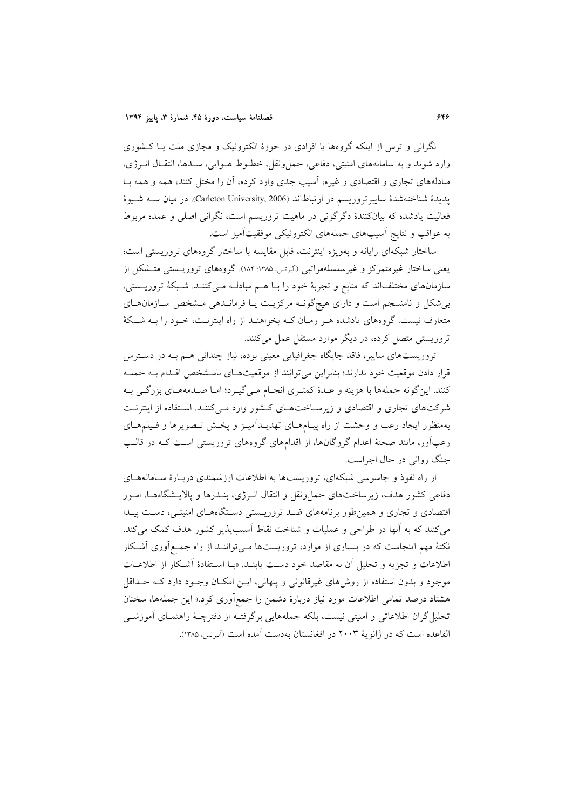نگرانی و ترس از اینکه گروهها یا افرادی در حوزهٔ الکترونیک و مجازی ملت یـا کـشوری وارد شوند و به سامانههای امنیتی، دفاعی، حمل ونقل، خطـوط هـوایی، سـدها، انتقـال انــرژی، مبادلههای تجاری و اقتصادی و غیره، آسیب جدی وارد کرده، آن را مختل کنند، همه و همه بـا يديدة شناختهشدة سايبرتروريسم در ارتباطاند (Carleton University, 2006). در ميان ســه شــيوة فعالیت یادشده که بیانکنندهٔ دگرگونی در ماهیت تروریسم است، نگرانی اصلی و عمده مربوط به عواقب و نتايج آسيبهاى حملههاى الكترونيكي موفقيتآميز است.

ساختار شبکهای رایانه و بهویژه اینترنت، قابل مقایسه با ساختار گروههای تروریستی است؛ یعنی ساختار غیرمتمرکز و غیرسلسلهمراتبی (البرتس، ۱۳۸۵: ۱۸۲). گروههای تروریستی متشکل از سازمانهای مختلفاند که منابع و تجربهٔ خود را بـا هــم مبادلـه مــیکننـد. شـبکهٔ تروریــستی، بی شکل و نامنسجم است و دارای هیچگونـه مرکزیـت یـا فرمانـدهی مـشخص سـازمان هـای متعارف نیست. گروههای یادشده هـر زمـان کـه بخواهنـد از راه اینترنـت، خـود را بــه شـبکهٔ تروریستی متصل کرده، در دیگر موارد مستقل عمل میکنند.

تروریستهای سایبر، فاقد جایگاه جغرافیایی معینی بوده، نیاز چندانی هـم بـه در دسـترس قرار دادن موقعیت خود ندارند؛ بنابراین می توانند از موقعیتهای نامشخص اقلدام بـه حملـه كنند. اين گونه حملهها با هزينه و عـدهٔ كمتـرى انجـام مـي5يـرد؛ امـا صـدمههـاي بزرگـي بـه شرکتهای تجاری و اقتصادی و زیرساختهای کشور وارد مـیکننـد. اسـتفاده از اینترنـت بهمنظور ایجاد رعب و وحشت از راه پیـامهـای تهدیـدآمیـز و پخـش تـصویرها و فـیلمهـای رعبآور، مانند صحنهٔ اعدام گروگانها، از اقدامهای گروههای تروریستی است کـه در قالـب جنگ روانی در حال اجراست.

از راه نفوذ و جاسوسی شبکهای، تروریستها به اطلاعات ارزشمندی دربـارهٔ سـامانههـای دفاعی کشور هدف، زیرساختهای حمل ونقل و انتقال انـرژی، بنـدرها و پالایــشگاههـا، امـور اقتصادی و تجاری و همین طور برنامههای ضد تروریستی دستگاههای امنیتی، دست پیدا می کنند که به آنها در طراحی و عملیات و شناخت نقاط آسیبپذیر کشور هدف کمک می کند. نکتهٔ مهم اینجاست که در بسیاری از موارد، تروریستها مـی تواننـد از راه جمـع|وری اَشـکار اطلاعات و تجزیه و تحلیل آن به مقاصد خود دست پابنـد. «بـا اسـتفادهٔ آشـكار از اطلاعــات موجود و بدون استفاده از روش های غیرقانونی و پنهانی، ایــِن امکــان وجـود دارد کــه حــداقل هشتاد درصد تمامی اطلاعات مورد نیاز دربارهٔ دشمن را جمع|وری کرد.» این جملهها، سخنان تحلیل گران اطلاعاتی و امنیتی نیست، بلکه جملههایی برگرفتـه از دفترچـهٔ راهنمـای آموزشــی القاعده است كه در ژانويهٔ ۲۰۰۳ در افغانستان بهدست آمده است (آلبرتس، ۱۳۸۵).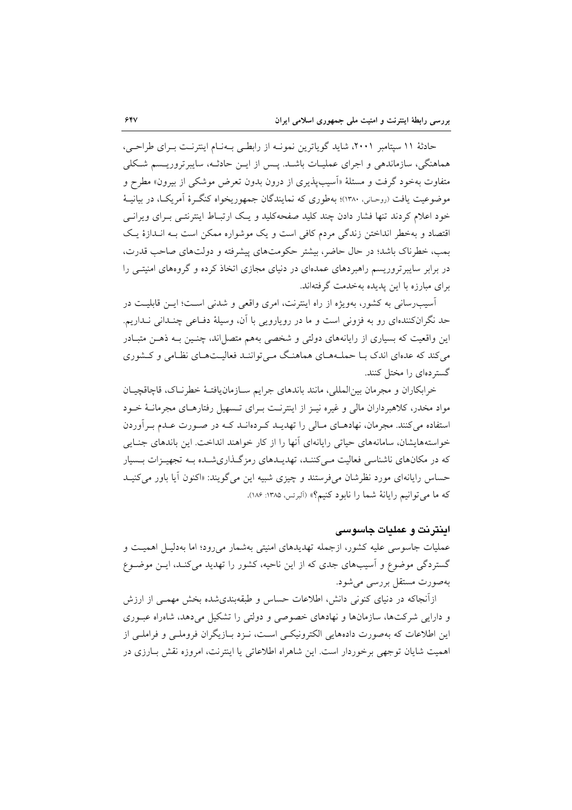حادثهٔ ۱۱ سپتامبر ۲۰۰۱، شاید گویاترین نمونـه از رابطـی بـهنـام اینترنـت بـرای طراحـی، هماهنگی، سازماندهی و اجرای عملیـات باشـد. پـس از ایــن حادثــه، سایبرتروریـسم شـکلی متفاوت بهخود گرفت و مسئلهٔ «اَسیبپذیری از درون بدون تعرض موشکی از بیرون» مطرح و موضوعیت یافت (روحـانی، ۱۳۸۰)؛ بهطوری که نمایندگان جمهوریخواه کنگـرهٔ آمریکـا، در بیانیــهٔ خود اعلام کردند تنها فشار دادن چند کلید صفحهکلید و یک ارتبـاط اینترنتـی بـرای ویرانـی اقتصاد و بهخطر انداختن زندگی مردم کافی است و یک موشواره ممکن است بـه انــدازهٔ یـک بمب، خطرناک باشد؛ در حال حاضر، بیشتر حکومتهای پیشرفته و دولتهای صاحب قدرت، در برابر سایبرتروریسم راهبردهای عمدهای در دنیای مجازی اتخاذ کرده و گروههای امنیتبی را برای مبارزه با این پدیده بهخدمت گرفتهاند.

آسیب رسانی به کشور، بهویژه از راه اینترنت، امری واقعی و شدنی است؛ ایـن قابلیـت در حد نگرانکنندهای رو به فزونی است و ما در رویارویی با آن، وسیلهٔ دفـاعی چنـدانی نـداریم. این واقعیت که بسیاری از رایانههای دولتی و شخصی بههم متصل|ند، چنـین بـه ذهــن متبـادر می کند که عدهای اندک با حملههای هماهنگ میتوانند فعالیتهای نظامی و کشوری گستردهای را مختل کنند.

خرابكاران و مجرمان بين المللي، مانند باندهاي جرايم سـازمان يافتـهٔ خطرنـاك، قاچاقچيـان مواد مخدر، کلاهبرداران مالی و غیره نیـز از اینترنـت بـرای تـسهیل رفتارهـای مجرمانـهٔ خـود استفاده می کنند. مجرمان، نهادهـای مـالی را تهدیـد کـردهانـد کـه در صـورت عـدم بـرآوردن خواستههایشان، سامانههای حیاتی رایانهای آنها را از کار خواهند انداخت. این باندهای جنـایی که در مکانهای ناشناسی فعالیت مے کننـد، تهدیـدهای رمزگـذاریشـده بـه تجهیـزات بـسبار حساس رایانهای مورد نظرشان میفرستند و چیزی شبیه این میگویند: «اکنون آیا باور می کنیـد كه ما مي توانيم رايانة شما را نابود كنيم؟» (البرتس، ١٣٨٥: ١٨۶).

اینترنت و عملیات جاسوسی

عملیات جاسوسی علیه کشور، ازجمله تهدیدهای امنیتی بهشمار میرود؛ اما بهدلیـل اهمیـت و گستردگی موضوع و اسیبهای جدی که از این ناحیه، کشور را تهدید می کنـد، ایــن موضــوع بهصورت مستقل بررسی میشود.

ازآنجاکه در دنیای کنونی دانش، اطلاعات حساس و طبقهبندیشده بخش مهمـی از ارزش و دارایی شرکتها، سازمانها و نهادهای خصوصی و دولتی را تشکیل می دهد، شاهراه عبوری این اطلاعات که بهصورت دادههایی الکترونیکسی است، نـزد بـازیگران فروملـی و فراملـی از اهميت شايان توجهي برخوردار است. اين شاهراه اطلاعاتي يا اينترنت، امروزه نقش بـارزي در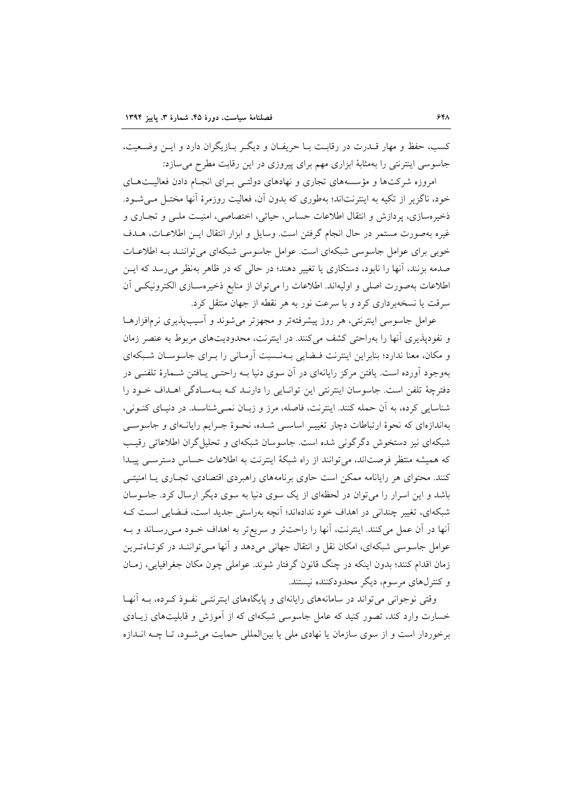كسب، حفظ و مهار قــدرت در رقابـت بــا حريفــان و ديگــر بــازيگران دارد و ايــن وضــعيت، جاسوسی اینترنتی را بهمثابهٔ ابزاری مهم برای پیروزی در این رقابت مطرح می سازد:

امروزه شرکتها و مؤسسههای تجاری و نهادهای دولتبی بـرای انجـام دادن فعالیـتهـای خود، ناگزیر از تکیه به اینترنتاند؛ بهطوری که بدون آن، فعالیت روزمرهٔ آنها مختـل مـی شـود. ذخیرهسازی، پردازش و انتقال اطلاعات حساس، حیاتی، اختصاصی، امنیت ملبی و تجباری و غیره بهصورت مستمر در حال انجام گرفتن است. وسایل و ابزار انتقال ایـن اطلاعـات، هـدف خوبی برای عوامل جاسوسی شبکهای است. عوامل جاسوسی شبکهای می توانند بـه اطلاعـات صدمه بزنند، آنها را نابود، دستکاری یا تغییر دهند؛ در حالی که در ظاهر بهنظر می رسد که ایــن اطلاعات بهصورت اصلي و اوليهاند. اطلاعات را مي توان از منابع ذخيرهسـازي الكترونيكـي أن سرقت یا نسخهبرداری کرد و با سرعت نور به هر نقطه از جهان منتقل کرد.

عوامل جاسوسی اینترنتی، هر روز پیشرفتهتر و مجهزتر می شوند و آسیبپذیری نرمافزارهـا و نفودپذیری آنها را بهراحتی کشف میکنند. در اینترنت، محدودیتهای مربوط به عنصر زمان و مکان، معنا ندارد؛ بنابراین اینترنت فیضایی بهنسبت آرمانی را برای جاسوسان شبکهای بهوجود اَورده است. یافتن مرکز رایانهای در اَن سوی دنیا بــه راحتــی یــافتن شــمارهٔ تلفنــی در دفترچهٔ تلفن است. جاسوسان اینترنتی این توانـایی را دارنـد کـه بـهسـادگی اهـداف خـود را شناسایی کرده، به آن حمله کنند. اینترنت، فاصله، مرز و زبـان نمـی شناسـد. در دنیـای کنـونی، بهاندازهای که نحوهٔ ارتباطات دچار تغییـر اساسـی شـده، نحـوهٔ جـرایم رایانـهای و جاسوسـی شبکهای نیز دستخوش دگرگونی شده است. جاسوسان شبکهای و تحلیل گران اطلاعاتی رقیب که همیشه منتظر فرصتاند، می توانند از راه شبکهٔ اینترنت به اطلاعات حساس دسترسبی پیدا کنند. محتوای هر رایانامه ممکن است حاوی برنامههای راهبردی اقتصادی، تجـاری یــا امنیتــی باشد و این اسرار را می توان در لحظهای از یک سوی دنیا به سوی دیگر ارسال کرد. جاسوسان شبکهای، تغییر چندانی در اهداف خود ندادهاند؛ آنچه بهراستی جدید است، فـضایی اسـت کـه آنها در آن عمل میکنند. اینترنت، آنها را راحتتر و سریعتر به اهداف خـود مـیرسـاند و بــه عوامل جاسوسی شبکهای، امکان نقل و انتقال جهانی می دهد و آنها مبی تواننـد در کوتـاهتـرین زمان اقدام کنند؛ بدون اینکه در چنگ قانون گرفتار شوند. عواملی چون مکان جغرافیایی، زمـان و کنترلهای مرسوم، دیگر محدودکننده نیستند.

وقتی نوجوانی می تواند در سامانههای رایانهای و پایگاههای اینترنتـی نفـوذ کـرده، بـه آنهـا خسارت وارد کند، تصور کنید که عامل جاسوسی شبکهای که از آموزش و قابلیتهای زیـادی برخوردار است و از سوی سازمان یا نهادی ملی یا بین المللی حمایت می شـود، تـا چــه انــدازه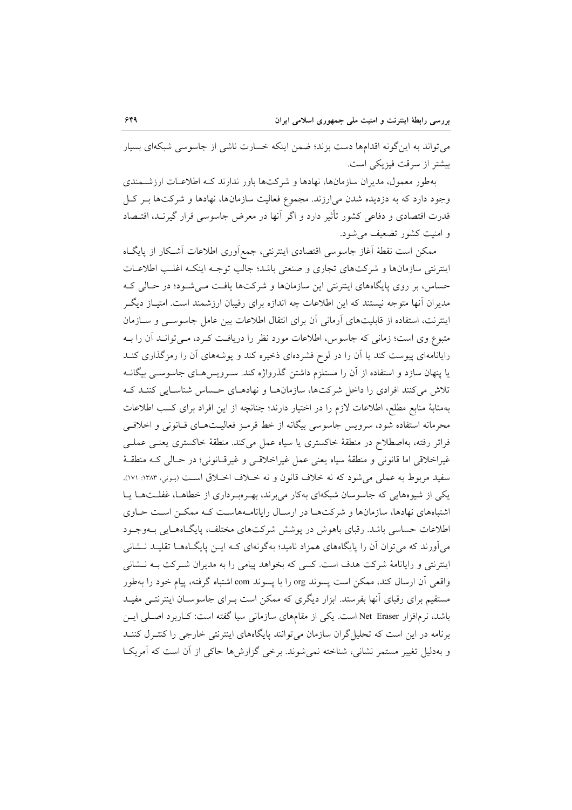می تواند به این گونه اقدامها دست بزند؛ ضمن اینکه خسارت ناشی از جاسوسی شبکهای بسیار بیشتر از سرقت فیزیکی است.

بهطور معمول، مدیران سازمانها، نهادها و شرکتها باور ندارند کـه اطلاعـات ارزشــمندی وجود دارد که به دزدیده شدن می(رزند. مجموع فعالیت سازمانها، نهادها و شرکتها بـر کـل قدرت اقتصادی و دفاعی کشور تأثیر دارد و اگر آنها در معرض جاسوسی قرار گیرنـد، اقتـصاد و امنیت کشور تضعیف می شود.

ممكن است نقطهٔ آغاز جاسوسی اقتصادی اینترنتی، جمع آوری اطلاعات آشكار از پایگIه اینترنتی سازمانها و شرکتهای تجاری و صنعتی باشد؛ جالب توجـه اینکـه اغلـب اطلاعـات حساس، بر روی پایگاههای اینترنتی این سازمانها و شرکتها یافت می شود؛ در حـالی کـه مدیران آنها متوجه نیستند که این اطلاعات چه اندازه برای رقیبان ارزشمند است. امتیـاز دیگـر اینترنت، استفاده از قابلیتهای آرمانی آن برای انتقال اطلاعات بین عامل جاسوسبی و ســازمان متبوع وی است؛ زمانی که جاسوس، اطلاعات مورد نظر را دریافت کـرد، مـی توانــد اَن را بــه رایانامهای پیوست کند یا آن را در لوح فشردهای ذخیره کند و پوشههای آن را رمزگذاری کنــد یا پنهان سازد و استفاده از آن را مستلزم داشتن گذرواژه کند. سـرویسهـای جاسوســی بیگانــه تلاش میکنند افرادی را داخل شرکتها، سازمانها و نهادهـای حساس شناسـایی کننـد کـه بهمثابهٔ منابع مطلع، اطلاعات لازم را در اختیار دارند؛ چنانچه از این افراد برای کسب اطلاعات محرمانه استفاده شود، سرويس جاسوسي بيگانه از خط قرمـز فعاليـتهـاي قـانوني و اخلاقـي فراتر رفته، بهاصطلاح در منطقهٔ خاکستری یا سیاه عمل میکند. منطقهٔ خاکستری یعنـی عملـی غیراخلاقی اما قانونی و منطقهٔ سیاه یعنی عمل غیراخلاقیی و غیرقـانونی؛ در حـالی کـه منطقـهٔ سفيد مربوط به عملي مي شود كه نه خلاف قانون و نه خـلاف اخـلاق اسـت (بـوني، ١٣٨٣: ١٧١). یکی از شیوههایی که جاسوسان شبکهای بهکار می برند، به روب داری از خطاهـا، غفلـتهـا يـا اشتباههای نهادها، سازمانها و شرکتها در ارسال رایانامههاست که ممکن است حـاوی اطلاعات حساسی باشد. رقبای باهوش در پوشش شرکتهای مختلف، پایگاههـایی بـهوجـود میآورند که می توان آن را پایگاههای همزاد نامید؛ بهگونهای کـه ایــن پایگــاههــا تقلیــد نــشانی اینترنتی و رایانامهٔ شرکت هدف است. کسی که بخواهد پیامی را به مدیران شـرکت بــه نــشانی واقعی آن ارسال کند، ممکن است پسوند org را با پسوند com اشتباه گرفته، پیام خود را بهطور مستقیم برای رقبای آنها بفرستد. ابزار دیگری که ممکن است بـرای جاسوسـان اینترنتـی مفیـد باشد، نرمافزار Net Eraser است. یکی از مقامهای سازمانی سیا گفته است: کـاربرد اصـلی ایــن برنامه در این است که تحلیل گران سازمان می توانند پایگاههای اینترنتی خارجی را کنتـرل کننـد و بهدلیل تغییر مستمر نشانی، شناخته نمی شوند. برخی گزارش ها حاکی از آن است که آمریکا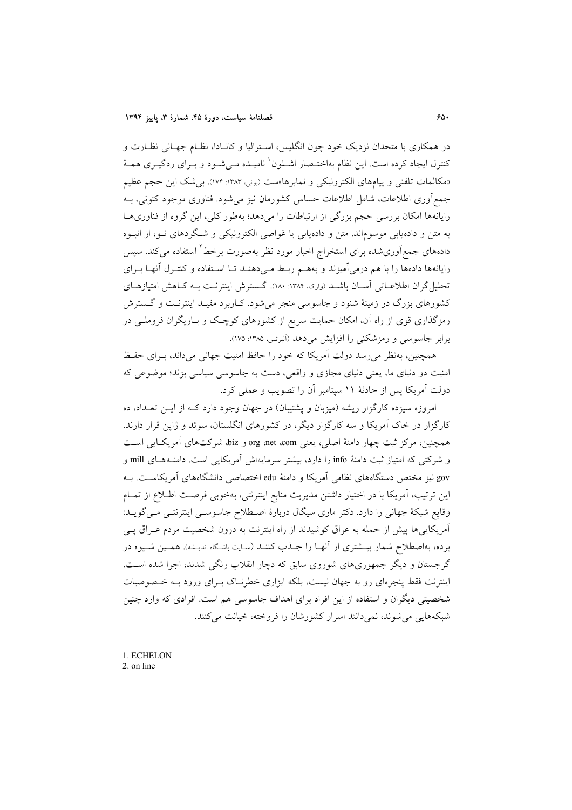در همکاری با متحدان نزدیک خود چون انگلیس، اسـترالیا و کانـادا، نظـام جهـانی نظـارت و كنترل ايجاد كرده است. اين نظام بهاختـصار اشــلون` ناميــده مــيشــود و بــراي ردگيــري همــهٔ «مكالمات تلفني و پيامهاي الكترونيكي و نمابرها»ست (بوني، ١٣٨٣: ١٧٢). بي شك اين حجم عظيم جمع آوری اطلاعات، شامل اطلاعات حساس کشورمان نیز می شود. فناوری موجود کنونی، بـه رایانهها امکان بررسی حجم بزرگی از ارتباطات را می دهد؛ بهطور کلی، این گروه از فناوریهـا به متن و دادهیابی موسوماند. متن و دادهیابی یا غواصی الکترونیکی و شگردهای نـو، از انبـوه دادههای جمعآوریشده برای استخراج اخبار مورد نظر بهصورت برخط<sup>۲</sup> استفاده میکند. سپس رایانهها دادهها را با هم درمی آمیزند و بههـم ربـط مـیدهنـد تـا اسـتفاده و کنتـرل آنهـا بـرای تحلیل گران اطلاعـاتی اسـان باشـد (واری، ۱۳۸۴: ۱۸۰). گـسترش اینترنـت بـه کـاهش امتیازهـای کشورهای بزرگ در زمینهٔ شنود و جاسوسی منجر میشود. کـاربرد مفیـد اینترنـت و گـسترش رمزگذاری قوی از راه آن، امکان حمایت سریع از کشورهای کوچک و بــازیگران فروملــی در برابر جاسوسی و رمزشکنی را افزایش می دهد (آلبرتس، ۱۳۸۵: ۱۷۵).

همچنین، بهنظر می رسد دولت آمریکا که خود را حافظ امنیت جهانی می داند، بـرای حفـظ امنیت دو دنیای ما، یعنی دنیای مجازی و واقعی، دست به جاسوسی سیاسی بزند؛ موضوعی که دولت آمریکا پس از حادثهٔ ۱۱ سپتامبر آن را تصویب و عملی کرد.

امروزه سیزده کارگزار ریشه (میزبان و یشتیبان) در جهان وجود دارد کـه از ایــن تعــداد، ده کارگزار در خاک آمریکا و سه کارگزار دیگر، در کشورهای انگلستان، سوئد و ژاپن قرار دارند. همچنین، مرکز ثبت چهار دامنهٔ اصلی، یعنی org ،net ،com و biz، شرکتهای اَمریکایی است و شرکتی که امتیاز ثبت دامنهٔ info را دارد، بیشتر سرمایهاش آمریکایی است. دامنـههـای mill و gov نیز مختص دستگاههای نظامی آمریکا و دامنهٔ edu اختصاصی دانشگاههای آمریکاست. بـه این ترتیب، آمریکا با در اختیار داشتن مدیریت منابع اینترنتی، بهخوبی فرصت اطلاع از تمـام وقایع شبکهٔ جهانی را دارد. دکتر ماری سیگال دربارهٔ اصطلاح جاسوسی اینترنتـی مـی گویــد: آمریکاییها پیش از حمله به عراق کوشیدند از راه اینترنت به درون شخصیت مردم عـراق پــی برده، بهاصطلاح شمار بیــشتری از آنهــا را جــذب کننــد (سـایت باشـگاه اندیـشه). همــین شــیوه در گرجستان و دیگر جمهوریهای شوروی سابق که دچار انقلاب رنگی شدند، اجرا شده است. اینترنت فقط پنجرهای رو به جهان نیست، بلکه ابزاری خطرنـاک بـرای ورود بـه خـصوصیات شخصیتی دیگران و استفاده از این افراد برای اهداف جاسوسی هم است. افرادی که وارد چنین شبکههایی می شوند، نمی دانند اسرار کشورشان را فروخته، خیانت می کنند.

1. ECHELON 2 on line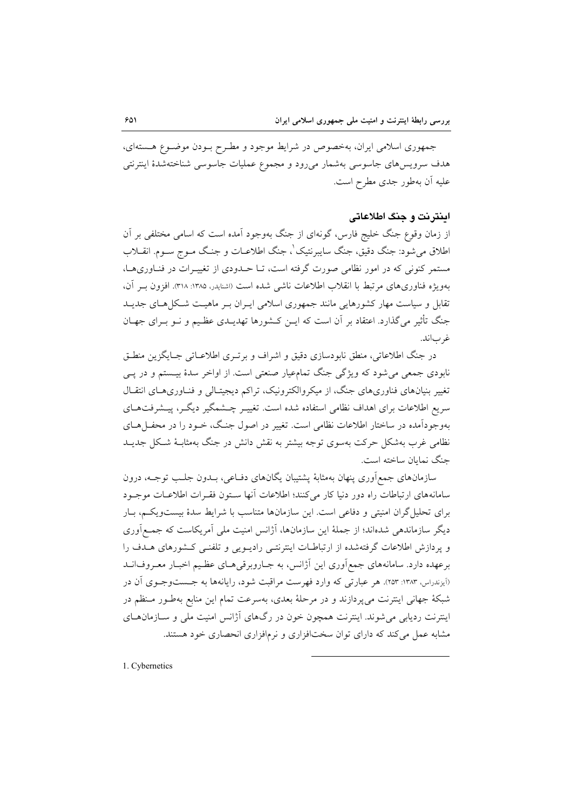جمهوری اسلامی ایران، بهخصوص در شرایط موجود و مطـرح بـودن موضـوع هـستهای، هدف سرويس،هاي جاسوسي بهشمار مي٫رود و مجموع عمليات جاسوسي شناختهشدۀ اينترنتي عليه أن بهطور جدى مطرح است.

## اينترنت و جنگ اطلاعاتي

از زمان وقوع جنگ خلیج فارس، گونهای از جنگ بهوجود آمده است که اسامی مختلفی بر آن اطلاق می شود: جنگ دقیق، جنگ سایبرنتیک'، جنگ اطلاعـات و جنـگ مـوج سـوم. انقــلاب مستمر کنونی که در امور نظامی صورت گرفته است، تــا حــدودی از تغییــرات در فنــاوریهــا، بهويژه فناوريهاي مرتبط با انقلاب اطلاعات ناشي شده است (اشنايدر، ۱۳۸۵: ۳۱۸). افزون بـر آن، تقابل و سیاست مهار کشورهایی مانند جمهوری اسلامی ایـران بـر ماهیـت شـکل هـای جدیـد جنگ تأثیر می گذارد. اعتقاد بر آن است که ایــن کــشورها تهدیــدی عظـیم و نــو بــرای جهــان غر باند.

در جنگ اطلاعاتي، منطق نابودسازي دقيق و اشراف و برتـري اطلاعـاتي جـايگزين منطـق نابودي جمعي مي شود كه ويژگي جنگ تمامءيار صنعتي است. از اواخر سدهٔ بيـستم و در پــي تغییر بنیانهای فناوریهای جنگ، از میکروالکترونیک، تراکم دیجیتـالی و فنـاوریهـای انتقـال سریع اطلاعات برای اهداف نظامی استفاده شده است. تغییـر چــشمگیر دیگــر، پیــشرفتهــای بهوجودآمده در ساختار اطلاعات نظامی است. تغییر در اصول جنگ، خــود را در محفــلهــای نظامی غرب بهشکل حرکت بهسوی توجه بیشتر به نقش دانش در جنگ بهمثابـهٔ شـکل جدیــد جنگ نمایان ساخته است.

سازمانهای جمع آوری پنهان بهمثابهٔ پشتیبان یگانهای دفـاعی، بــدون جلـب توجــه، درون سامانههای ارتباطات راه دور دنیا کار میکنند؛ اطلاعات آنها ستون فقرات اطلاعات موجـود برای تحلیل گران امنیتی و دفاعی است. این سازمانها متناسب با شرایط سدهٔ بیستویکم، بـار دیگر سازماندهی شدهاند؛ از جملهٔ این سازمانها، آژانس امنیت ملی آمریکاست که جمـع|َوری و پردازش اطلاعات گرفتهشده از ارتباطـات اينترنتـي راديــويـي و تلفنــي كــشورهاي هــدف را برعهده دارد. سامانههای جمع آوری این آژانس، به جـاروبرقیهـای عظـیم اخبـار معـروف|نــد (آیزندراس، ۱۳۸۳: ۲۵۳). هر عبارتی که وارد فهرست مراقبت شود، رایانهها به جــستوجــوی آن در شبکهٔ جهانی اینترنت میپردازند و در مرحلهٔ بعدی، بهسرعت تمام این منابع بهطـور مـنظم در اینترنت ردیابی می شوند. اینترنت همچون خون در رگهای آژانس امنیت ملی و ســازمان هــای مشابه عمل می کند که دارای توان سختافزاری و نرمافزاری انحصاری خود هستند.

1. Cybernetics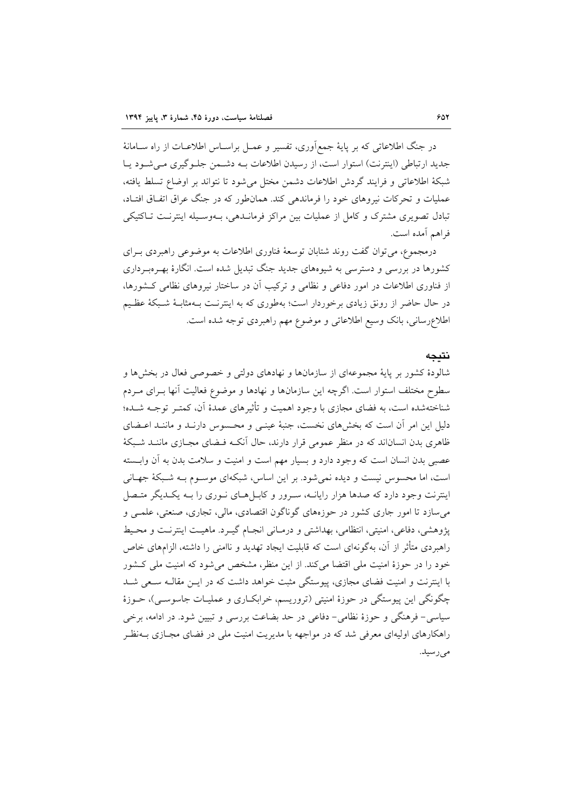در جنگ اطلاعاتی که بر پایهٔ جمع[وری، تفسیر و عمـل براسـاس اطلاعـات از راه سـامانهٔ جدید ارتباطی (اینترنت) استوار است، از رسیدن اطلاعات بـه دشـمن جلـوگیری مـی شـود پـا شبكة اطلاعاتي و فرايند گردش اطلاعات دشمن مختل مي شود تا نتواند بر اوضاع تسلط يافته، عملیات و تحرکات نیروهای خود را فرماندهی کند. همانطور که در جنگ عراق اتفاق افتـاد، تبادل تصویری مشترک و کامل از عملیات بین مراکز فرمانــدهی، بــهوســیله اینترنــت تــاکتیکی فراهم أمده است.

درمجموع، می توان گفت روند شتابان توسعهٔ فناوری اطلاعات به موضوعی راهبردی بـرای کشورها در بررسی و دسترسی به شیوههای جدید جنگ تبدیل شده است. انگارهٔ بهـرهبـرداری از فناوری اطلاعات در امور دفاعی و نظامی و ترکیب آن در ساختار نیروهای نظامی کشورها، در حال حاضر از رونق زیادی برخوردار است؛ بهطوری که به اینترنت بـهمثابـهٔ شـبکهٔ عظـیم اطلاعرساني، بانک وسيع اطلاعاتي و موضوع مهم راهبردي توجه شده است.

#### نتىحە

شالودهٔ کشور بر پایهٔ مجموعهای از سازمانها و نهادهای دولتی و خصوصی فعال در بخشها و سطوح مختلف استوار است. اگرچه این سازمانها و نهادها و موضوع فعالیت آنها بـرای مـردم شناختهشده است، به فضای مجازی با وجود اهمیت و تأثیرهای عمدهٔ آن، کمتـر توجـه شــده؛ دلیل این امر آن است که بخشهای نخست، جنبهٔ عینـی و محـسوس دارنـد و ماننـد اعـضای ظاهری بدن انساناند که در منظر عمومی قرار دارند، حال آنکـه فـضای مجـازی ماننــد شـبکهٔ عصبی بدن انسان است که وجود دارد و بسیار مهم است و امنیت و سلامت بدن به آن وابسته است، اما محسوس نیست و دیده نمی شود. بر این اساس، شبکهای موسـوم بـه شـبکهٔ جهـانی اینترنت وجود دارد که صدها هزار رایانــه، سـرور و کابــلهـای نــوری را بــه یکــدیگر متــصل می سازد تا امور جاری کشور در حوزههای گوناگون اقتصادی، مالی، تجاری، صنعتی، علمـی و یژوهشی، دفاعی، امنیتی، انتظامی، بهداشتی و درمـانی انجـام گیـرد. ماهیـت اینترنـت و محـیط راهیردی متأثر از آن، بهگونهای است که قابلیت ایجاد تهدید و ناامنی را داشته، الزامهای خاص خود را در حوزهٔ امنیت ملی اقتضا میکند. از این منظر، مشخص میشود که امنیت ملی کشور با اینترنت و امنیت فضای مجازی، پیوستگی مثبت خواهد داشت که در ایـن مقالـه سـعی شـد چگونگی این پیوستگی در حوزهٔ امنیتی (تروریسم، خرابکـاری و عملیـات جاسوسـی)، حــوزهٔ سیاسی- فرهنگی و حوزهٔ نظامی- دفاعی در حد بضاعت بررسی و تبیین شود. در ادامه، برخی راهکارهای اولیهای معرفی شد که در مواجهه با مدیریت امنیت ملی در فضای مجـازی بــهنظـر مے رسید.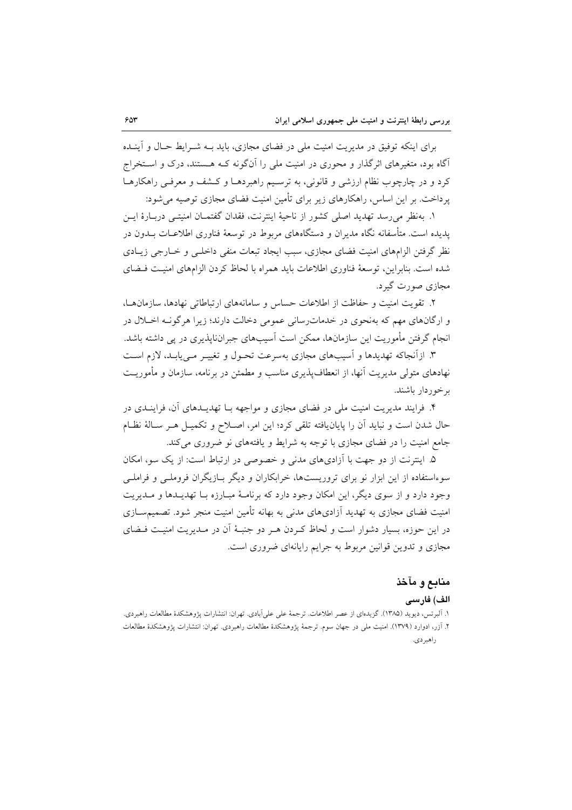برای اینکه توفیق در مدیریت امنیت ملی در فضای مجازی، باید بـه شـرایط حـال و آینــده آگاه بود، متغیرهای اثرگذار و محوری در امنیت ملی را آنگونه کـه هـستند، درک و اسـتخراج کرد و در چارچوب نظام ارزشی و قانونی، به ترسـیم راهبردهـا و کـشف و معرفـی راهکارهـا یر داخت. بر این اساس، راهکارهای زیر برای تأمین امنیت فضای مجازی توصیه می شود:

١. بهنظر مي رسد تهديد اصلي كشور از ناحيهٔ اينترنت، فقدان گفتمــان امنيتــي دربــارهٔ ايــن یدیده است. متأسفانه نگاه مدیران و دستگاههای مربوط در توسعهٔ فناوری اطلاعـات بــدون در نظر گرفتن الزامهای امنیت فضای مجازی، سبب ایجاد تبعات منفی داخلبی و خــارجی زیــادی شده است. بنابراین، توسعهٔ فناوری اطلاعات باید همراه با لحاظ کردن الزامهای امنیت فیضای مجازي صورت گيرد.

۲. تقویت امنیت و حفاظت از اطلاعات حساس و سامانههای ارتباطاتی نهادها، سازمان ها، و ارگانهای مهم که بهنحوی در خدمات رسانی عمومی دخالت دارند؛ زیرا هرگوف اخـلال در انجام گرفتن مأموریت این سازمانها، ممکن است آسیبهای جبراننایذیری در پی داشته باشد.

۳. ازآنجاکه تهدیدها و آسیبهای مجازی بهسرعت تحـول و تغییـر مـی،یابـد، لازم اسـت نهادهای متولی مدیریت آنها، از انعطافپذیری مناسب و مطمئن در برنامه، سازمان و مأموریـت برخوردار باشند.

۴. فرایند مدیریت امنیت ملی در فضای مجازی و مواجهه بـا تهدیــدهای آن، فراینــدی در حال شدن است و نبايد أن را پايان يافته تلقى كرد؛ اين امر، اصـلاح و تكميـل هـر سـالة نظـام جامع امنیت را در فضای مجازی با توجه به شرایط و یافتههای نو ضروری می کند.

۵. اینترنت از دو جهت با آزادیهای مدنی و خصوصی در ارتباط است: از یک سو، امکان سوءاستفاده از این ابزار نو برای تروریستها، خرابکاران و دیگر بـازیگران فروملـی و فراملـی وجود دارد و از سوی دیگر، این امکان وجود دارد که برنامـهٔ مبـارزه بـا تهدیـدها و مـدیریت امنیت فضای مجازی به تهدید آزادیهای مدنی به بهانه تأمین امنیت منجر شود. تصمیمســازی در این حوزه، بسیار دشوار است و لحاظ کـردن هـر دو جنبـهٔ آن در مــدیریت امنیـت فــضای مجازی و تدوین قوانین مربوط به جرایم رایانهای ضروری است.

# منابع و مآخذ الف) فارسى

١. اَلبرتس، ديويد (١٣٨۵). گزيدماى از عصر اطلاعات. ترجمهٔ على على اَبادى. تهران: انتشارات پژوهشكدهٔ مطالعات راهبردى. ۲. آزر، ادوارد (۱۳۷۹). امنیت ملی در جهان سوم. ترجمهٔ یژوهشکدهٔ مطالعات راهبردی. تهران: انتشارات یژوهشکدهٔ مطالعات ر اهير دي.